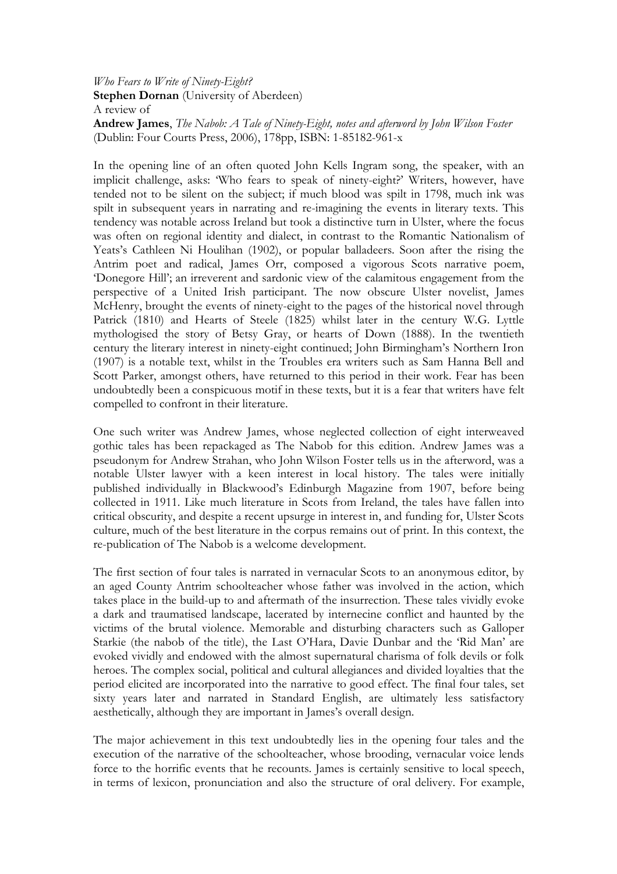## Who Fears to Write of Ninety-Eight? Stephen Dornan (University of Aberdeen) A review of Andrew James, The Nabob: A Tale of Ninety-Eight, notes and afterword by John Wilson Foster (Dublin: Four Courts Press, 2006), 178pp, ISBN: 1-85182-961-x

In the opening line of an often quoted John Kells Ingram song, the speaker, with an implicit challenge, asks: 'Who fears to speak of ninety-eight?' Writers, however, have tended not to be silent on the subject; if much blood was spilt in 1798, much ink was spilt in subsequent years in narrating and re-imagining the events in literary texts. This tendency was notable across Ireland but took a distinctive turn in Ulster, where the focus was often on regional identity and dialect, in contrast to the Romantic Nationalism of Yeats's Cathleen Ni Houlihan (1902), or popular balladeers. Soon after the rising the Antrim poet and radical, James Orr, composed a vigorous Scots narrative poem, 'Donegore Hill'; an irreverent and sardonic view of the calamitous engagement from the perspective of a United Irish participant. The now obscure Ulster novelist, James McHenry, brought the events of ninety-eight to the pages of the historical novel through Patrick (1810) and Hearts of Steele (1825) whilst later in the century W.G. Lyttle mythologised the story of Betsy Gray, or hearts of Down (1888). In the twentieth century the literary interest in ninety-eight continued; John Birmingham's Northern Iron (1907) is a notable text, whilst in the Troubles era writers such as Sam Hanna Bell and Scott Parker, amongst others, have returned to this period in their work. Fear has been undoubtedly been a conspicuous motif in these texts, but it is a fear that writers have felt compelled to confront in their literature.

One such writer was Andrew James, whose neglected collection of eight interweaved gothic tales has been repackaged as The Nabob for this edition. Andrew James was a pseudonym for Andrew Strahan, who John Wilson Foster tells us in the afterword, was a notable Ulster lawyer with a keen interest in local history. The tales were initially published individually in Blackwood's Edinburgh Magazine from 1907, before being collected in 1911. Like much literature in Scots from Ireland, the tales have fallen into critical obscurity, and despite a recent upsurge in interest in, and funding for, Ulster Scots culture, much of the best literature in the corpus remains out of print. In this context, the re-publication of The Nabob is a welcome development.

The first section of four tales is narrated in vernacular Scots to an anonymous editor, by an aged County Antrim schoolteacher whose father was involved in the action, which takes place in the build-up to and aftermath of the insurrection. These tales vividly evoke a dark and traumatised landscape, lacerated by internecine conflict and haunted by the victims of the brutal violence. Memorable and disturbing characters such as Galloper Starkie (the nabob of the title), the Last O'Hara, Davie Dunbar and the 'Rid Man' are evoked vividly and endowed with the almost supernatural charisma of folk devils or folk heroes. The complex social, political and cultural allegiances and divided loyalties that the period elicited are incorporated into the narrative to good effect. The final four tales, set sixty years later and narrated in Standard English, are ultimately less satisfactory aesthetically, although they are important in James's overall design.

The major achievement in this text undoubtedly lies in the opening four tales and the execution of the narrative of the schoolteacher, whose brooding, vernacular voice lends force to the horrific events that he recounts. James is certainly sensitive to local speech, in terms of lexicon, pronunciation and also the structure of oral delivery. For example,